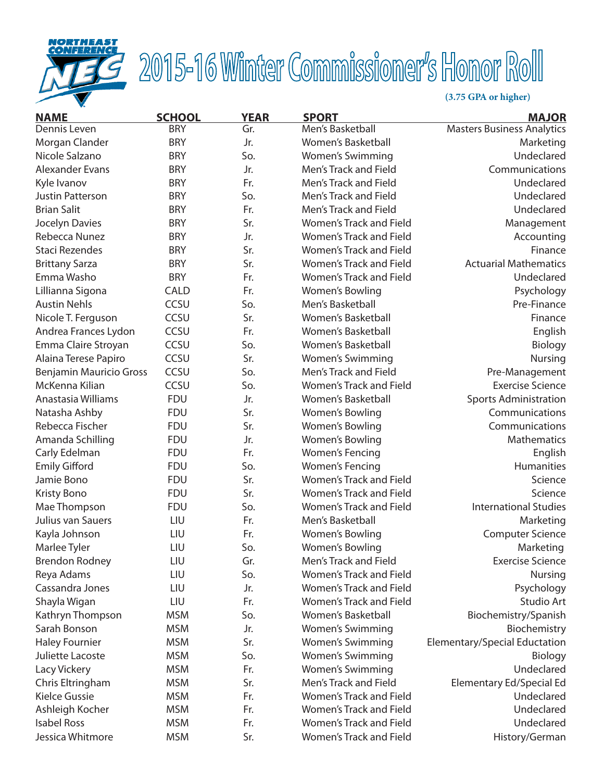

## 2015-16 Winter Commissioner's Honor Roll

**(3.75 GPA or higher)**

| <b>NAME</b>                    | <b>SCHOOL</b> | <b>YEAR</b> | <b>SPORT</b>                   | <b>MAJOR</b>                      |
|--------------------------------|---------------|-------------|--------------------------------|-----------------------------------|
| Dennis Leven                   | <b>BRY</b>    | Gr.         | Men's Basketball               | <b>Masters Business Analytics</b> |
| Morgan Clander                 | <b>BRY</b>    | Jr.         | Women's Basketball             | Marketing                         |
| Nicole Salzano                 | <b>BRY</b>    | So.         | <b>Women's Swimming</b>        | Undeclared                        |
| Alexander Evans                | <b>BRY</b>    | Jr.         | Men's Track and Field          | Communications                    |
| Kyle Ivanov                    | <b>BRY</b>    | Fr.         | Men's Track and Field          | Undeclared                        |
| <b>Justin Patterson</b>        | <b>BRY</b>    | So.         | Men's Track and Field          | Undeclared                        |
| <b>Brian Salit</b>             | <b>BRY</b>    | Fr.         | Men's Track and Field          | Undeclared                        |
| Jocelyn Davies                 | <b>BRY</b>    | Sr.         | Women's Track and Field        | Management                        |
| Rebecca Nunez                  | <b>BRY</b>    | Jr.         | Women's Track and Field        | Accounting                        |
| <b>Staci Rezendes</b>          | <b>BRY</b>    | Sr.         | <b>Women's Track and Field</b> | Finance                           |
| <b>Brittany Sarza</b>          | <b>BRY</b>    | Sr.         | <b>Women's Track and Field</b> | <b>Actuarial Mathematics</b>      |
| Emma Washo                     | <b>BRY</b>    | Fr.         | <b>Women's Track and Field</b> | Undeclared                        |
| Lillianna Sigona               | <b>CALD</b>   | Fr.         | Women's Bowling                | Psychology                        |
| <b>Austin Nehls</b>            | CCSU          | So.         | Men's Basketball               | Pre-Finance                       |
| Nicole T. Ferguson             | CCSU          | Sr.         | Women's Basketball             | Finance                           |
| Andrea Frances Lydon           | CCSU          | Fr.         | Women's Basketball             | English                           |
| Emma Claire Stroyan            | CCSU          | So.         | <b>Women's Basketball</b>      | Biology                           |
| Alaina Terese Papiro           | CCSU          | Sr.         | <b>Women's Swimming</b>        | Nursing                           |
| <b>Benjamin Mauricio Gross</b> | CCSU          | So.         | Men's Track and Field          | Pre-Management                    |
| McKenna Kilian                 | CCSU          | So.         | <b>Women's Track and Field</b> | <b>Exercise Science</b>           |
| Anastasia Williams             | <b>FDU</b>    | Jr.         | Women's Basketball             | <b>Sports Administration</b>      |
| Natasha Ashby                  | <b>FDU</b>    | Sr.         | Women's Bowling                | Communications                    |
| Rebecca Fischer                | <b>FDU</b>    | Sr.         | Women's Bowling                | Communications                    |
| Amanda Schilling               | <b>FDU</b>    | Jr.         | Women's Bowling                | Mathematics                       |
| Carly Edelman                  | <b>FDU</b>    | Fr.         | <b>Women's Fencing</b>         | English                           |
| <b>Emily Gifford</b>           | <b>FDU</b>    | So.         | <b>Women's Fencing</b>         | Humanities                        |
| Jamie Bono                     | <b>FDU</b>    | Sr.         | <b>Women's Track and Field</b> | Science                           |
| <b>Kristy Bono</b>             | <b>FDU</b>    | Sr.         | <b>Women's Track and Field</b> | Science                           |
| Mae Thompson                   | <b>FDU</b>    | So.         | Women's Track and Field        | <b>International Studies</b>      |
| Julius van Sauers              | LIU           | Fr.         | Men's Basketball               | Marketing                         |
| Kayla Johnson                  | LIU           | Fr.         | Women's Bowling                | <b>Computer Science</b>           |
| Marlee Tyler                   | LIU           | So.         | Women's Bowling                | Marketing                         |
| <b>Brendon Rodney</b>          | LIU           | Gr.         | Men's Track and Field          | <b>Exercise Science</b>           |
| Reya Adams                     | LIU           | So.         | <b>Women's Track and Field</b> | <b>Nursing</b>                    |
| Cassandra Jones                | LIU           | Jr.         | <b>Women's Track and Field</b> | Psychology                        |
| Shayla Wigan                   | LIU           | Fr.         | <b>Women's Track and Field</b> | Studio Art                        |
| Kathryn Thompson               | <b>MSM</b>    | So.         | Women's Basketball             | Biochemistry/Spanish              |
| Sarah Bonson                   | <b>MSM</b>    | Jr.         | <b>Women's Swimming</b>        | Biochemistry                      |
| <b>Haley Fournier</b>          | <b>MSM</b>    | Sr.         | <b>Women's Swimming</b>        | Elementary/Special Eductation     |
| Juliette Lacoste               | <b>MSM</b>    | So.         | <b>Women's Swimming</b>        | Biology                           |
| Lacy Vickery                   | <b>MSM</b>    | Fr.         | <b>Women's Swimming</b>        | Undeclared                        |
| Chris Eltringham               | <b>MSM</b>    | Sr.         | Men's Track and Field          | Elementary Ed/Special Ed          |
| <b>Kielce Gussie</b>           | <b>MSM</b>    | Fr.         | <b>Women's Track and Field</b> | Undeclared                        |
| Ashleigh Kocher                | <b>MSM</b>    | Fr.         | Women's Track and Field        | Undeclared                        |
| <b>Isabel Ross</b>             | <b>MSM</b>    | Fr.         | <b>Women's Track and Field</b> | Undeclared                        |
| Jessica Whitmore               | <b>MSM</b>    | Sr.         | Women's Track and Field        | History/German                    |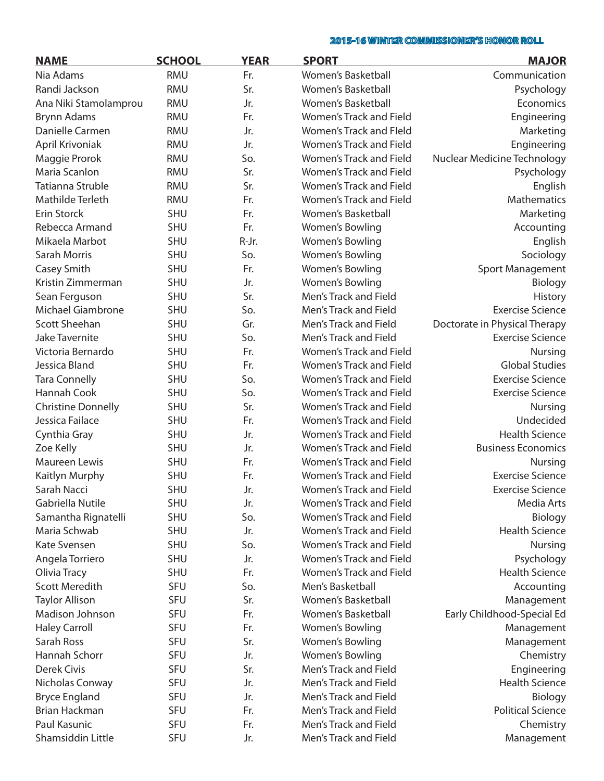## 2015-16 WINTER COMMISSIONER'S HONOR ROLL

| <b>NAME</b>               | <b>SCHOOL</b> | <b>YEAR</b> | <b>SPORT</b>                   | <b>MAJOR</b>                  |
|---------------------------|---------------|-------------|--------------------------------|-------------------------------|
| Nia Adams                 | <b>RMU</b>    | Fr.         | Women's Basketball             | Communication                 |
| Randi Jackson             | <b>RMU</b>    | Sr.         | Women's Basketball             | Psychology                    |
| Ana Niki Stamolamprou     | <b>RMU</b>    | Jr.         | Women's Basketball             | Economics                     |
| <b>Brynn Adams</b>        | <b>RMU</b>    | Fr.         | <b>Women's Track and Field</b> | Engineering                   |
| Danielle Carmen           | <b>RMU</b>    | Jr.         | <b>Women's Track and Fleld</b> | Marketing                     |
| April Krivoniak           | <b>RMU</b>    | Jr.         | <b>Women's Track and Field</b> | Engineering                   |
| Maggie Prorok             | RMU           | So.         | Women's Track and Field        | Nuclear Medicine Technology   |
| Maria Scanlon             | <b>RMU</b>    | Sr.         | Women's Track and Field        | Psychology                    |
| Tatianna Struble          | <b>RMU</b>    | Sr.         | Women's Track and Field        | English                       |
| Mathilde Terleth          | <b>RMU</b>    | Fr.         | Women's Track and Field        | Mathematics                   |
| Erin Storck               | <b>SHU</b>    | Fr.         | Women's Basketball             | Marketing                     |
| Rebecca Armand            | <b>SHU</b>    | Fr.         | Women's Bowling                | Accounting                    |
| Mikaela Marbot            | <b>SHU</b>    | R-Jr.       | Women's Bowling                | English                       |
| Sarah Morris              | <b>SHU</b>    | So.         | Women's Bowling                | Sociology                     |
| Casey Smith               | <b>SHU</b>    | Fr.         | Women's Bowling                | Sport Management              |
| Kristin Zimmerman         | <b>SHU</b>    | Jr.         | Women's Bowling                | Biology                       |
| Sean Ferguson             | <b>SHU</b>    | Sr.         | Men's Track and Field          | History                       |
| <b>Michael Giambrone</b>  | <b>SHU</b>    | So.         | Men's Track and Field          | <b>Exercise Science</b>       |
| Scott Sheehan             | <b>SHU</b>    | Gr.         | Men's Track and Field          | Doctorate in Physical Therapy |
| <b>Jake Tavernite</b>     | <b>SHU</b>    | So.         | Men's Track and Field          | <b>Exercise Science</b>       |
| Victoria Bernardo         | <b>SHU</b>    | Fr.         | <b>Women's Track and Field</b> | <b>Nursing</b>                |
| Jessica Bland             | <b>SHU</b>    | Fr.         | Women's Track and Field        | <b>Global Studies</b>         |
| <b>Tara Connelly</b>      | <b>SHU</b>    | So.         | Women's Track and Field        | <b>Exercise Science</b>       |
| Hannah Cook               | <b>SHU</b>    | So.         | Women's Track and Field        | <b>Exercise Science</b>       |
| <b>Christine Donnelly</b> | <b>SHU</b>    | Sr.         | Women's Track and Field        | <b>Nursing</b>                |
| Jessica Failace           | <b>SHU</b>    | Fr.         | <b>Women's Track and Field</b> | Undecided                     |
| Cynthia Gray              | <b>SHU</b>    | Jr.         | Women's Track and Field        | <b>Health Science</b>         |
| Zoe Kelly                 | <b>SHU</b>    | Jr.         | Women's Track and Field        | <b>Business Economics</b>     |
| Maureen Lewis             | <b>SHU</b>    | Fr.         | Women's Track and Field        | <b>Nursing</b>                |
| Kaitlyn Murphy            | <b>SHU</b>    | Fr.         | <b>Women's Track and Field</b> | <b>Exercise Science</b>       |
| Sarah Nacci               | <b>SHU</b>    | Jr.         | <b>Women's Track and Field</b> | <b>Exercise Science</b>       |
| Gabriella Nutile          | <b>SHU</b>    | Jr.         | <b>Women's Track and Field</b> | Media Arts                    |
| Samantha Rignatelli       | <b>SHU</b>    | So.         | Women's Track and Field        | Biology                       |
| Maria Schwab              | <b>SHU</b>    | Jr.         | Women's Track and Field        | <b>Health Science</b>         |
| Kate Svensen              | <b>SHU</b>    | So.         | Women's Track and Field        | Nursing                       |
| Angela Torriero           | <b>SHU</b>    | Jr.         | Women's Track and Field        | Psychology                    |
| Olivia Tracy              | <b>SHU</b>    | Fr.         | Women's Track and Field        | <b>Health Science</b>         |
| <b>Scott Meredith</b>     | <b>SFU</b>    | So.         | Men's Basketball               | Accounting                    |
| <b>Taylor Allison</b>     | SFU           | Sr.         | Women's Basketball             | Management                    |
| Madison Johnson           | <b>SFU</b>    | Fr.         | Women's Basketball             | Early Childhood-Special Ed    |
| <b>Haley Carroll</b>      | SFU           | Fr.         | Women's Bowling                | Management                    |
| Sarah Ross                | <b>SFU</b>    | Sr.         | Women's Bowling                | Management                    |
| Hannah Schorr             | <b>SFU</b>    | Jr.         | Women's Bowling                | Chemistry                     |
| Derek Civis               | SFU           | Sr.         | Men's Track and Field          | Engineering                   |
| Nicholas Conway           | SFU           | Jr.         | Men's Track and Field          | <b>Health Science</b>         |
| <b>Bryce England</b>      | SFU           | Jr.         | Men's Track and Field          | Biology                       |
| <b>Brian Hackman</b>      | SFU           | Fr.         | Men's Track and Field          | <b>Political Science</b>      |
| Paul Kasunic              | SFU           | Fr.         | Men's Track and Field          | Chemistry                     |
| Shamsiddin Little         | SFU           | Jr.         | Men's Track and Field          | Management                    |